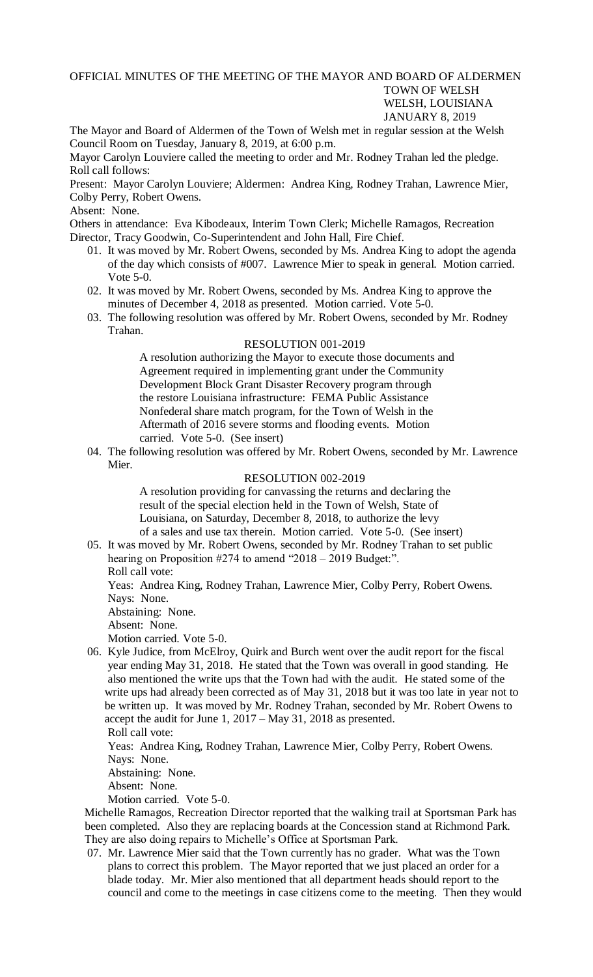## OFFICIAL MINUTES OF THE MEETING OF THE MAYOR AND BOARD OF ALDERMEN TOWN OF WELSH WELSH, LOUISIANA JANUARY 8, 2019

The Mayor and Board of Aldermen of the Town of Welsh met in regular session at the Welsh Council Room on Tuesday, January 8, 2019, at 6:00 p.m.

Mayor Carolyn Louviere called the meeting to order and Mr. Rodney Trahan led the pledge. Roll call follows:

Present: Mayor Carolyn Louviere; Aldermen: Andrea King, Rodney Trahan, Lawrence Mier, Colby Perry, Robert Owens.

## Absent: None.

Others in attendance: Eva Kibodeaux, Interim Town Clerk; Michelle Ramagos, Recreation Director, Tracy Goodwin, Co-Superintendent and John Hall, Fire Chief.

- 01. It was moved by Mr. Robert Owens, seconded by Ms. Andrea King to adopt the agenda of the day which consists of #007. Lawrence Mier to speak in general. Motion carried. Vote 5-0.
- 02. It was moved by Mr. Robert Owens, seconded by Ms. Andrea King to approve the minutes of December 4, 2018 as presented. Motion carried. Vote 5-0.
- 03. The following resolution was offered by Mr. Robert Owens, seconded by Mr. Rodney Trahan.

## RESOLUTION 001-2019

A resolution authorizing the Mayor to execute those documents and Agreement required in implementing grant under the Community Development Block Grant Disaster Recovery program through the restore Louisiana infrastructure: FEMA Public Assistance Nonfederal share match program, for the Town of Welsh in the Aftermath of 2016 severe storms and flooding events. Motion carried. Vote 5-0. (See insert)

04. The following resolution was offered by Mr. Robert Owens, seconded by Mr. Lawrence Mier.

## RESOLUTION 002-2019

A resolution providing for canvassing the returns and declaring the result of the special election held in the Town of Welsh, State of Louisiana, on Saturday, December 8, 2018, to authorize the levy of a sales and use tax therein. Motion carried. Vote 5-0. (See insert)

05. It was moved by Mr. Robert Owens, seconded by Mr. Rodney Trahan to set public hearing on Proposition #274 to amend "2018 – 2019 Budget:". Roll call vote:

Yeas: Andrea King, Rodney Trahan, Lawrence Mier, Colby Perry, Robert Owens. Nays: None.

- Abstaining: None.
- Absent: None.

Motion carried. Vote 5-0.

06. Kyle Judice, from McElroy, Quirk and Burch went over the audit report for the fiscal year ending May 31, 2018. He stated that the Town was overall in good standing. He also mentioned the write ups that the Town had with the audit. He stated some of the write ups had already been corrected as of May 31, 2018 but it was too late in year not to be written up. It was moved by Mr. Rodney Trahan, seconded by Mr. Robert Owens to accept the audit for June 1, 2017 – May 31, 2018 as presented.

Roll call vote: Yeas: Andrea King, Rodney Trahan, Lawrence Mier, Colby Perry, Robert Owens. Nays: None. Abstaining: None.

Absent: None.

Motion carried. Vote 5-0.

 Michelle Ramagos, Recreation Director reported that the walking trail at Sportsman Park has been completed. Also they are replacing boards at the Concession stand at Richmond Park. They are also doing repairs to Michelle's Office at Sportsman Park.

07. Mr. Lawrence Mier said that the Town currently has no grader. What was the Town plans to correct this problem. The Mayor reported that we just placed an order for a blade today. Mr. Mier also mentioned that all department heads should report to the council and come to the meetings in case citizens come to the meeting. Then they would